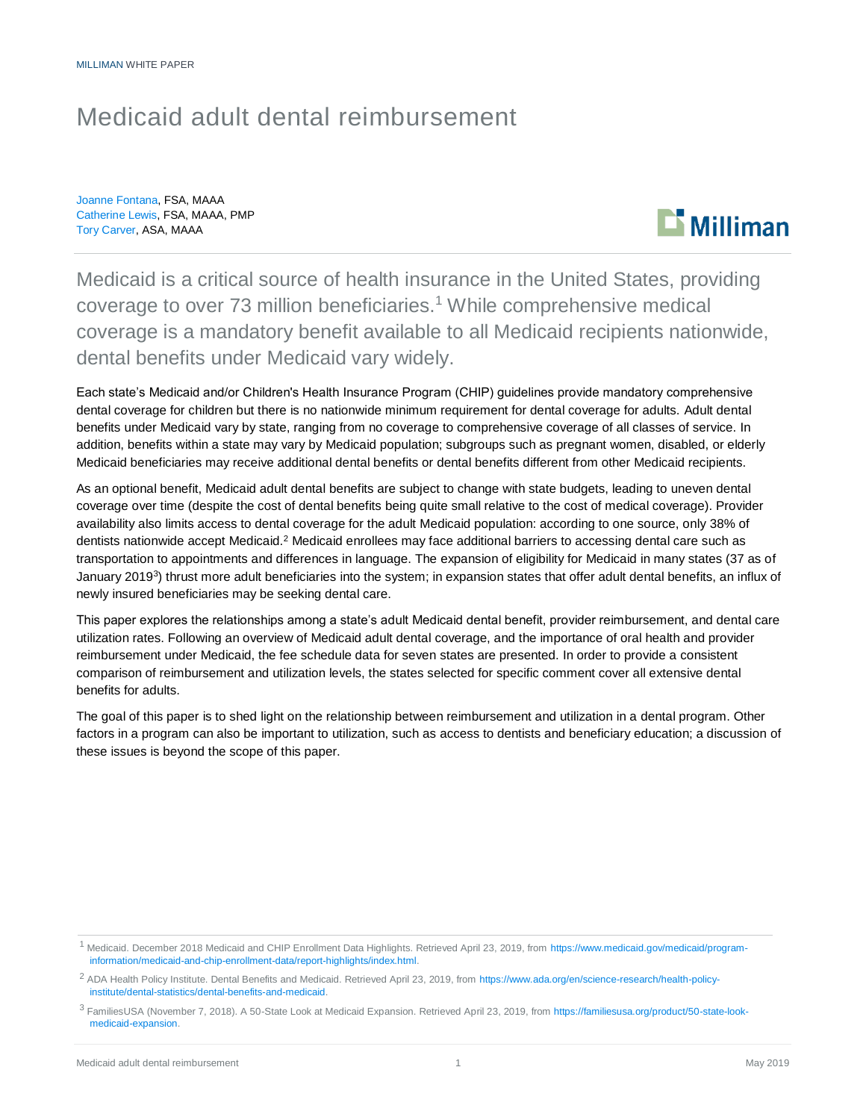## Medicaid adult dental reimbursement

Joanne Fontana, FSA, MAAA Catherine Lewis, FSA, MAAA, PMP Tory Carver, ASA, MAAA



Medicaid is a critical source of health insurance in the United States, providing coverage to over 73 million beneficiaries.<sup>1</sup> While comprehensive medical coverage is a mandatory benefit available to all Medicaid recipients nationwide, dental benefits under Medicaid vary widely.

Each state's Medicaid and/or Children's Health Insurance Program (CHIP) guidelines provide mandatory comprehensive dental coverage for children but there is no nationwide minimum requirement for dental coverage for adults. Adult dental benefits under Medicaid vary by state, ranging from no coverage to comprehensive coverage of all classes of service. In addition, benefits within a state may vary by Medicaid population; subgroups such as pregnant women, disabled, or elderly Medicaid beneficiaries may receive additional dental benefits or dental benefits different from other Medicaid recipients.

As an optional benefit, Medicaid adult dental benefits are subject to change with state budgets, leading to uneven dental coverage over time (despite the cost of dental benefits being quite small relative to the cost of medical coverage). Provider availability also limits access to dental coverage for the adult Medicaid population: according to one source, only 38% of dentists nationwide accept Medicaid.<sup>2</sup> Medicaid enrollees may face additional barriers to accessing dental care such as transportation to appointments and differences in language. The expansion of eligibility for Medicaid in many states (37 as of January 2019<sup>3</sup>) thrust more adult beneficiaries into the system; in expansion states that offer adult dental benefits, an influx of newly insured beneficiaries may be seeking dental care.

This paper explores the relationships among a state's adult Medicaid dental benefit, provider reimbursement, and dental care utilization rates. Following an overview of Medicaid adult dental coverage, and the importance of oral health and provider reimbursement under Medicaid, the fee schedule data for seven states are presented. In order to provide a consistent comparison of reimbursement and utilization levels, the states selected for specific comment cover all extensive dental benefits for adults.

The goal of this paper is to shed light on the relationship between reimbursement and utilization in a dental program. Other factors in a program can also be important to utilization, such as access to dentists and beneficiary education; a discussion of these issues is beyond the scope of this paper.

<sup>1</sup> Medicaid. December 2018 Medicaid and CHIP Enrollment Data Highlights. Retrieved April 23, 2019, from [https://www.medicaid.gov/medicaid/program](https://www.medicaid.gov/medicaid/program-information/medicaid-and-chip-enrollment-data/report-highlights/index.html)[information/medicaid-and-chip-enrollment-data/report-highlights/index.html.](https://www.medicaid.gov/medicaid/program-information/medicaid-and-chip-enrollment-data/report-highlights/index.html)

<sup>&</sup>lt;sup>2</sup> ADA Health Policy Institute. Dental Benefits and Medicaid. Retrieved April 23, 2019, from [https://www.ada.org/en/science-research/health-policy](https://www.ada.org/en/science-research/health-policy-institute/dental-statistics/dental-benefits-and-medicaid)[institute/dental-statistics/dental-benefits-and-medicaid.](https://www.ada.org/en/science-research/health-policy-institute/dental-statistics/dental-benefits-and-medicaid)

<sup>3</sup> FamiliesUSA (November 7, 2018). A 50-State Look at Medicaid Expansion. Retrieved April 23, 2019, fro[m https://familiesusa.org/product/50-state-look](https://familiesusa.org/product/50-state-look-medicaid-expansion)[medicaid-expansion.](https://familiesusa.org/product/50-state-look-medicaid-expansion)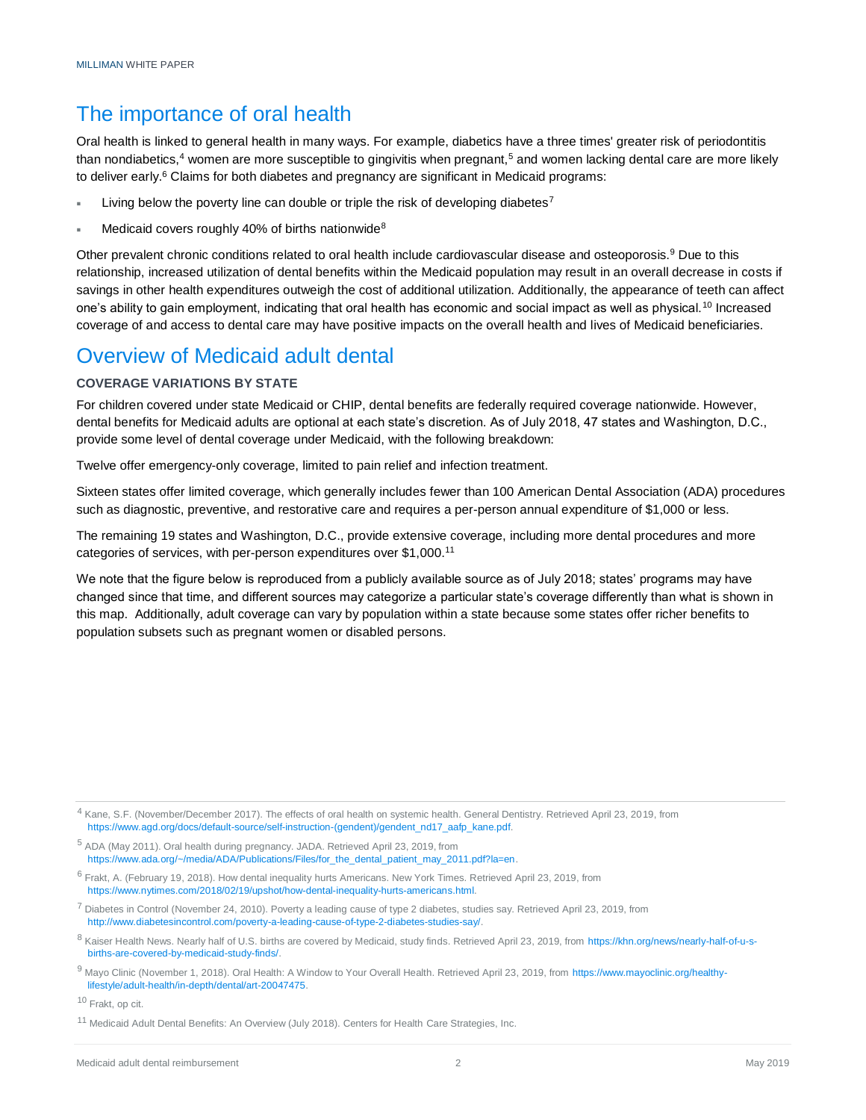### The importance of oral health

Oral health is linked to general health in many ways. For example, diabetics have a three times' greater risk of periodontitis than nondiabetics, $4$  women are more susceptible to gingivitis when pregnant, $5$  and women lacking dental care are more likely to deliver early.<sup>6</sup> Claims for both diabetes and pregnancy are significant in Medicaid programs:

- Living below the poverty line can double or triple the risk of developing diabetes<sup>7</sup>
- Medicaid covers roughly 40% of births nationwide<sup>8</sup>

Other prevalent chronic conditions related to oral health include cardiovascular disease and osteoporosis.<sup>9</sup> Due to this relationship, increased utilization of dental benefits within the Medicaid population may result in an overall decrease in costs if savings in other health expenditures outweigh the cost of additional utilization. Additionally, the appearance of teeth can affect one's ability to gain employment, indicating that oral health has economic and social impact as well as physical.<sup>10</sup> Increased coverage of and access to dental care may have positive impacts on the overall health and lives of Medicaid beneficiaries.

## Overview of Medicaid adult dental

#### **COVERAGE VARIATIONS BY STATE**

For children covered under state Medicaid or CHIP, dental benefits are federally required coverage nationwide. However, dental benefits for Medicaid adults are optional at each state's discretion. As of July 2018, 47 states and Washington, D.C., provide some level of dental coverage under Medicaid, with the following breakdown:

Twelve offer emergency-only coverage, limited to pain relief and infection treatment.

Sixteen states offer limited coverage, which generally includes fewer than 100 American Dental Association (ADA) procedures such as diagnostic, preventive, and restorative care and requires a per-person annual expenditure of \$1,000 or less.

The remaining 19 states and Washington, D.C., provide extensive coverage, including more dental procedures and more categories of services, with per-person expenditures over \$1,000.<sup>11</sup>

We note that the figure below is reproduced from a publicly available source as of July 2018; states' programs may have changed since that time, and different sources may categorize a particular state's coverage differently than what is shown in this map. Additionally, adult coverage can vary by population within a state because some states offer richer benefits to population subsets such as pregnant women or disabled persons.

 $^7$  Diabetes in Control (November 24, 2010). Poverty a leading cause of type 2 diabetes, studies say. Retrieved April 23, 2019, from [http://www.diabetesincontrol.com/poverty-a-leading-cause-of-type-2-diabetes-studies-say/.](http://www.diabetesincontrol.com/poverty-a-leading-cause-of-type-2-diabetes-studies-say/) 

9 Mavo Clinic (November 1, 2018). Oral Health: A Window to Your Overall Health. Retrieved April 23, 2019, from [https://www.mayoclinic.org/healthy](https://www.mayoclinic.org/healthy-lifestyle/adult-health/in-depth/dental/art-20047475)[lifestyle/adult-health/in-depth/dental/art-20047475.](https://www.mayoclinic.org/healthy-lifestyle/adult-health/in-depth/dental/art-20047475)

<sup>10</sup> Frakt, op cit.

<sup>&</sup>lt;sup>4</sup> Kane, S.F. (November/December 2017). The effects of oral health on systemic health. General Dentistry. Retrieved April 23, 2019, from [https://www.agd.org/docs/default-source/self-instruction-\(gendent\)/gendent\\_nd17\\_aafp\\_kane.pdf.](https://www.agd.org/docs/default-source/self-instruction-(gendent)/gendent_nd17_aafp_kane.pdf)

<sup>5</sup> ADA (May 2011). Oral health during pregnancy. JADA. Retrieved April 23, 2019, from [https://www.ada.org/~/media/ADA/Publications/Files/for\\_the\\_dental\\_patient\\_may\\_2011.pdf?la=en.](https://www.ada.org/~/media/ADA/Publications/Files/for_the_dental_patient_may_2011.pdf?la=en)

<sup>6</sup> Frakt, A. (February 19, 2018). How dental inequality hurts Americans. New York Times. Retrieved April 23, 2019, from [https://www.nytimes.com/2018/02/19/upshot/how-dental-inequality-hurts-americans.html.](https://www.nytimes.com/2018/02/19/upshot/how-dental-inequality-hurts-americans.html)

<sup>8</sup> Kaiser Health News. Nearly half of U.S. births are covered by Medicaid, study finds. Retrieved April 23, 2019, fro[m https://khn.org/news/nearly-half-of-u-s](https://khn.org/news/nearly-half-of-u-s-births-are-covered-by-medicaid-study-finds/)[births-are-covered-by-medicaid-study-finds/.](https://khn.org/news/nearly-half-of-u-s-births-are-covered-by-medicaid-study-finds/)

<sup>&</sup>lt;sup>11</sup> Medicaid Adult Dental Benefits: An Overview (July 2018). Centers for Health Care Strategies, Inc.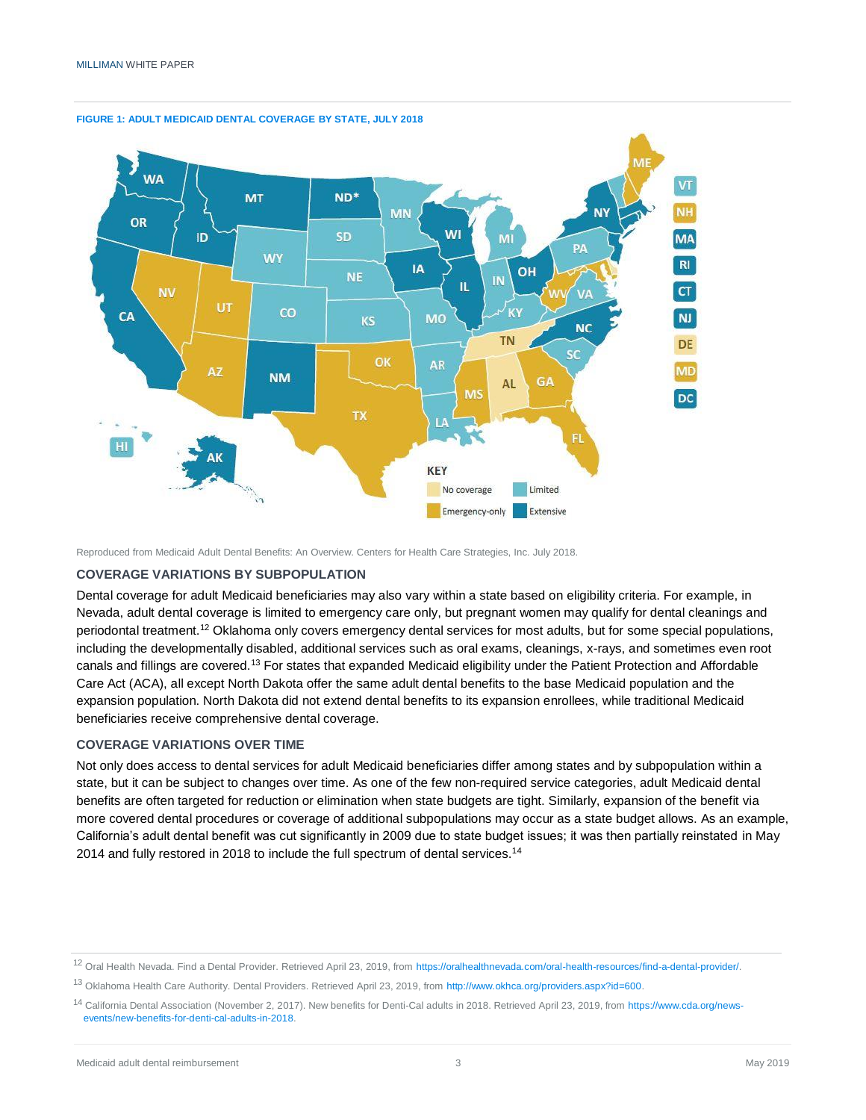

#### **FIGURE 1: ADULT MEDICAID DENTAL COVERAGE BY STATE, JULY 2018**

Reproduced from Medicaid Adult Dental Benefits: An Overview. Centers for Health Care Strategies, Inc. July 2018.

#### **COVERAGE VARIATIONS BY SUBPOPULATION**

Dental coverage for adult Medicaid beneficiaries may also vary within a state based on eligibility criteria. For example, in Nevada, adult dental coverage is limited to emergency care only, but pregnant women may qualify for dental cleanings and periodontal treatment.<sup>12</sup> Oklahoma only covers emergency dental services for most adults, but for some special populations, including the developmentally disabled, additional services such as oral exams, cleanings, x-rays, and sometimes even root canals and fillings are covered.<sup>13</sup> For states that expanded Medicaid eligibility under the Patient Protection and Affordable Care Act (ACA), all except North Dakota offer the same adult dental benefits to the base Medicaid population and the expansion population. North Dakota did not extend dental benefits to its expansion enrollees, while traditional Medicaid beneficiaries receive comprehensive dental coverage.

#### **COVERAGE VARIATIONS OVER TIME**

Not only does access to dental services for adult Medicaid beneficiaries differ among states and by subpopulation within a state, but it can be subject to changes over time. As one of the few non-required service categories, adult Medicaid dental benefits are often targeted for reduction or elimination when state budgets are tight. Similarly, expansion of the benefit via more covered dental procedures or coverage of additional subpopulations may occur as a state budget allows. As an example, California's adult dental benefit was cut significantly in 2009 due to state budget issues; it was then partially reinstated in May 2014 and fully restored in 2018 to include the full spectrum of dental services.<sup>14</sup>

<sup>12</sup> Oral Health Nevada. Find a Dental Provider. Retrieved April 23, 2019, from [https://oralhealthnevada.com/oral-health-resources/find-a-dental-provider/.](https://oralhealthnevada.com/oral-health-resources/find-a-dental-provider/) 

<sup>13</sup> Oklahoma Health Care Authority. Dental Providers. Retrieved April 23, 2019, fro[m http://www.okhca.org/providers.aspx?id=600.](http://www.okhca.org/providers.aspx?id=600) 

<sup>14</sup> California Dental Association (November 2, 2017). New benefits for Denti-Cal adults in 2018. Retrieved April 23, 2019, from [https://www.cda.org/news](https://www.cda.org/news-events/new-benefits-for-denti-cal-adults-in-2018)[events/new-benefits-for-denti-cal-adults-in-2018.](https://www.cda.org/news-events/new-benefits-for-denti-cal-adults-in-2018)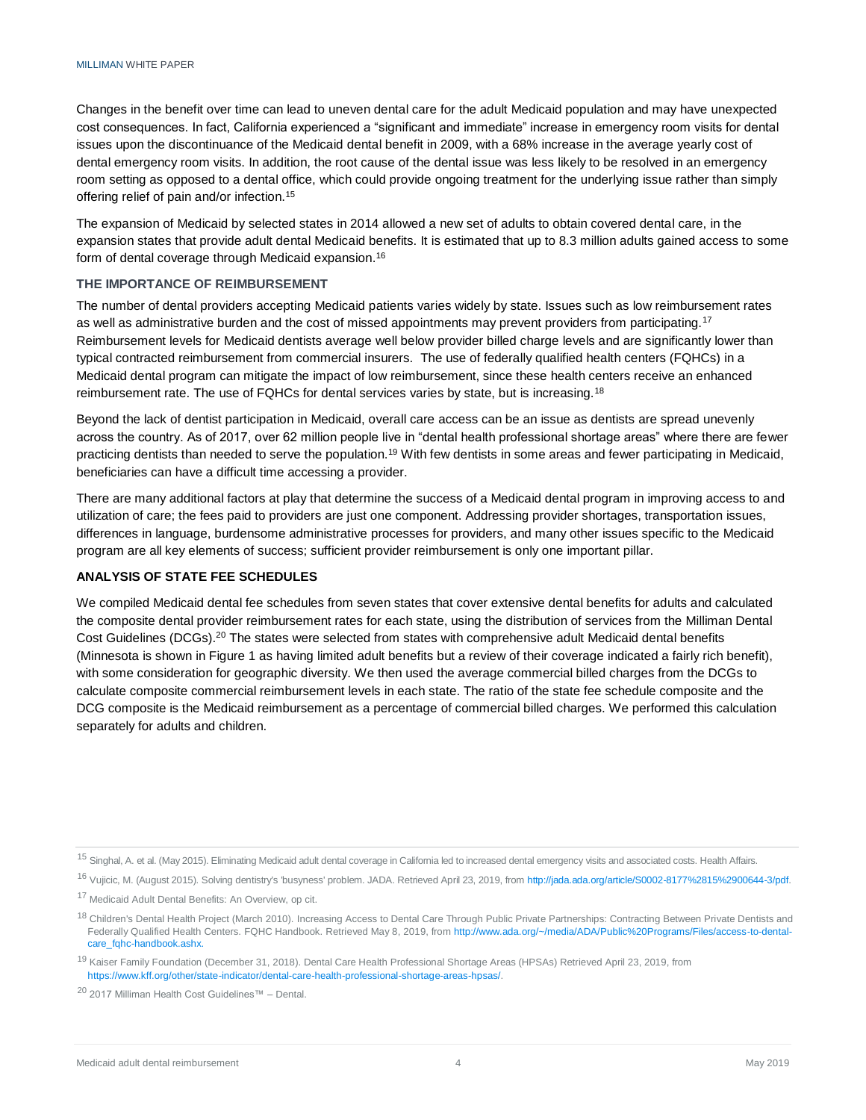Changes in the benefit over time can lead to uneven dental care for the adult Medicaid population and may have unexpected cost consequences. In fact, California experienced a "significant and immediate" increase in emergency room visits for dental issues upon the discontinuance of the Medicaid dental benefit in 2009, with a 68% increase in the average yearly cost of dental emergency room visits. In addition, the root cause of the dental issue was less likely to be resolved in an emergency room setting as opposed to a dental office, which could provide ongoing treatment for the underlying issue rather than simply offering relief of pain and/or infection.<sup>15</sup>

The expansion of Medicaid by selected states in 2014 allowed a new set of adults to obtain covered dental care, in the expansion states that provide adult dental Medicaid benefits. It is estimated that up to 8.3 million adults gained access to some form of dental coverage through Medicaid expansion.<sup>16</sup>

#### **THE IMPORTANCE OF REIMBURSEMENT**

The number of dental providers accepting Medicaid patients varies widely by state. Issues such as low reimbursement rates as well as administrative burden and the cost of missed appointments may prevent providers from participating.<sup>17</sup> Reimbursement levels for Medicaid dentists average well below provider billed charge levels and are significantly lower than typical contracted reimbursement from commercial insurers. The use of federally qualified health centers (FQHCs) in a Medicaid dental program can mitigate the impact of low reimbursement, since these health centers receive an enhanced reimbursement rate. The use of FQHCs for dental services varies by state, but is increasing.<sup>18</sup>

Beyond the lack of dentist participation in Medicaid, overall care access can be an issue as dentists are spread unevenly across the country. As of 2017, over 62 million people live in "dental health professional shortage areas" where there are fewer practicing dentists than needed to serve the population.<sup>19</sup> With few dentists in some areas and fewer participating in Medicaid, beneficiaries can have a difficult time accessing a provider.

There are many additional factors at play that determine the success of a Medicaid dental program in improving access to and utilization of care; the fees paid to providers are just one component. Addressing provider shortages, transportation issues, differences in language, burdensome administrative processes for providers, and many other issues specific to the Medicaid program are all key elements of success; sufficient provider reimbursement is only one important pillar.

#### **ANALYSIS OF STATE FEE SCHEDULES**

We compiled Medicaid dental fee schedules from seven states that cover extensive dental benefits for adults and calculated the composite dental provider reimbursement rates for each state, using the distribution of services from the Milliman Dental Cost Guidelines (DCGs).<sup>20</sup> The states were selected from states with comprehensive adult Medicaid dental benefits (Minnesota is shown in Figure 1 as having limited adult benefits but a review of their coverage indicated a fairly rich benefit), with some consideration for geographic diversity. We then used the average commercial billed charges from the DCGs to calculate composite commercial reimbursement levels in each state. The ratio of the state fee schedule composite and the DCG composite is the Medicaid reimbursement as a percentage of commercial billed charges. We performed this calculation separately for adults and children.

<sup>20</sup> 2017 Milliman Health Cost Guidelines™ – Dental.

<sup>15</sup> Singhal, A. et al. (May 2015). Eliminating Medicaid adult dental coverage in California led to increased dental emergency visits and associated costs. Health Affairs.

<sup>16</sup> Vujicic, M. (August 2015). Solving dentistry's "busyness' problem. JADA. Retrieved April 23, 2019, from [http://jada.ada.org/article/S0002-8177%2815%2900644-3/pdf.](http://jada.ada.org/article/S0002-8177%2815%2900644-3/pdf)

<sup>&</sup>lt;sup>17</sup> Medicaid Adult Dental Benefits: An Overview, op cit.

<sup>&</sup>lt;sup>18</sup> Children's Dental Health Project (March 2010). Increasing Access to Dental Care Through Public Private Partnerships: Contracting Between Private Dentists and Federally Qualified Health Centers. FQHC Handbook. Retrieved May 8, 2019, fro[m http://www.ada.org/~/media/ADA/Public%20Programs/Files/access-to-dental](http://www.ada.org/~/media/ADA/Public%20Programs/Files/access-to-dental-care_fqhc-handbook.ashx)[care\\_fqhc-handbook.ashx.](http://www.ada.org/~/media/ADA/Public%20Programs/Files/access-to-dental-care_fqhc-handbook.ashx)

<sup>&</sup>lt;sup>19</sup> Kaiser Family Foundation (December 31, 2018). Dental Care Health Professional Shortage Areas (HPSAs) Retrieved April 23, 2019, from [https://www.kff.org/other/state-indicator/dental-care-health-professional-shortage-areas-hpsas/.](https://www.kff.org/other/state-indicator/dental-care-health-professional-shortage-areas-hpsas/)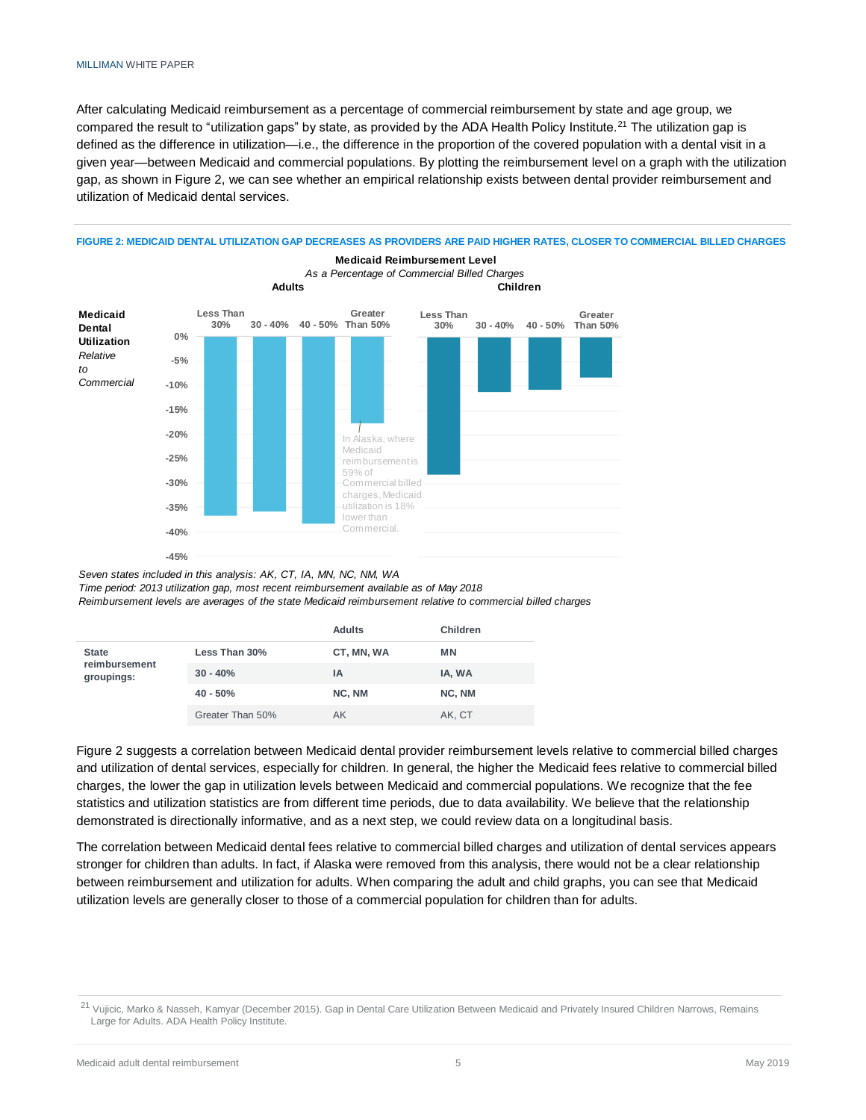After calculating Medicaid reimbursement as a percentage of commercial reimbursement by state and age group, we compared the result to "utilization gaps" by state, as provided by the ADA Health Policy Institute.<sup>21</sup> The utilization gap is defined as the difference in utilization—i.e., the difference in the proportion of the covered population with a dental visit in a given year—between Medicaid and commercial populations. By plotting the reimbursement level on a graph with the utilization gap, as shown in Figure 2, we can see whether an empirical relationship exists between dental provider reimbursement and utilization of Medicaid dental services.



**FIGURE 2: MEDICAID DENTAL UTILIZATION GAP DECREASES AS PROVIDERS ARE PAID HIGHER RATES, CLOSER TO COMMERCIAL BILLED CHARGES**

*Seven states included in this analysis: AK, CT, IA, MN, NC, NM, WA*

*Time period: 2013 utilization gap, most recent reimbursement available as of May 2018*

*Reimbursement levels are averages of the state Medicaid reimbursement relative to commercial billed charges*

|                             |                  | <b>Adults</b> | Children |  |
|-----------------------------|------------------|---------------|----------|--|
| <b>State</b>                | Less Than 30%    | CT, MN, WA    | ΜN       |  |
| reimbursement<br>groupings: | $30 - 40%$       | ΙA            | IA, WA   |  |
|                             | $40 - 50%$       | NC, NM        | NC, NM   |  |
|                             | Greater Than 50% | AK            | AK, CT   |  |

Figure 2 suggests a correlation between Medicaid dental provider reimbursement levels relative to commercial billed charges and utilization of dental services, especially for children. In general, the higher the Medicaid fees relative to commercial billed charges, the lower the gap in utilization levels between Medicaid and commercial populations. We recognize that the fee statistics and utilization statistics are from different time periods, due to data availability. We believe that the relationship demonstrated is directionally informative, and as a next step, we could review data on a longitudinal basis.

The correlation between Medicaid dental fees relative to commercial billed charges and utilization of dental services appears stronger for children than adults. In fact, if Alaska were removed from this analysis, there would not be a clear relationship between reimbursement and utilization for adults. When comparing the adult and child graphs, you can see that Medicaid utilization levels are generally closer to those of a commercial population for children than for adults.

<sup>&</sup>lt;sup>21</sup> Vujicic, Marko & Nasseh, Kamyar (December 2015). Gap in Dental Care Utilization Between Medicaid and Privately Insured Children Narrows, Remains Large for Adults. ADA Health Policy Institute.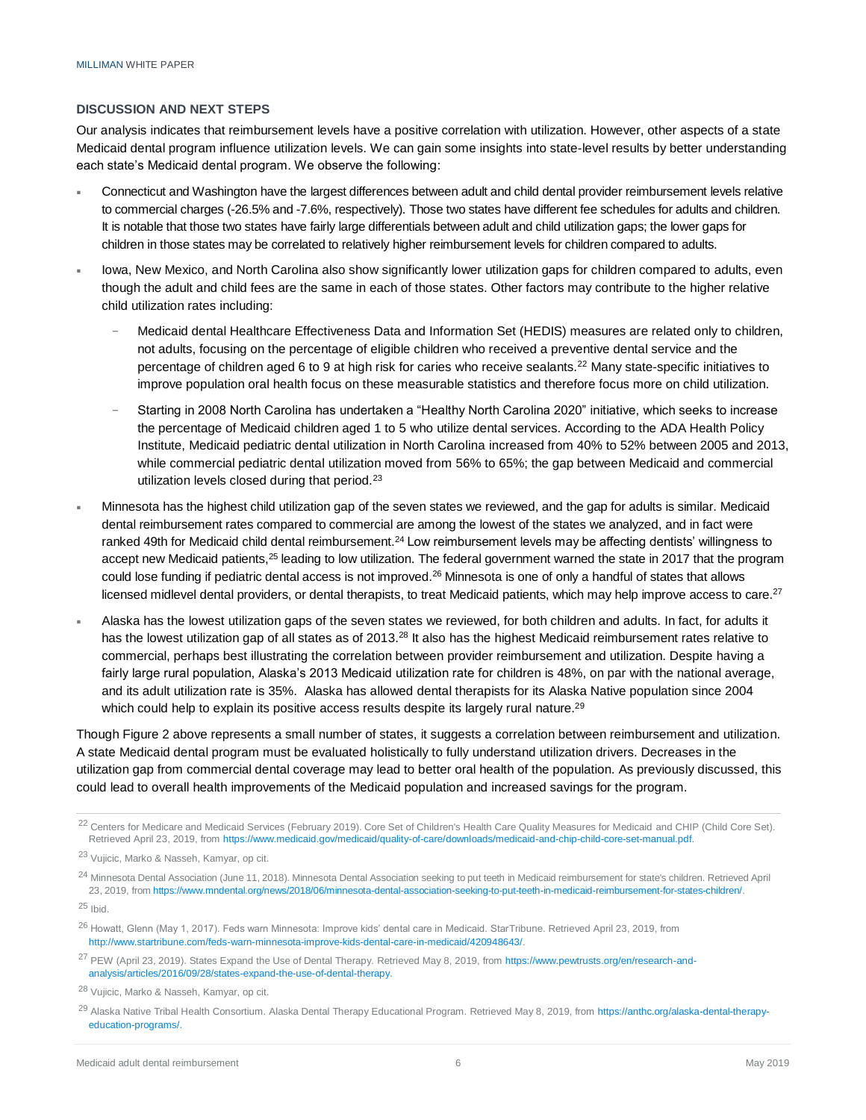#### **DISCUSSION AND NEXT STEPS**

Our analysis indicates that reimbursement levels have a positive correlation with utilization. However, other aspects of a state Medicaid dental program influence utilization levels. We can gain some insights into state-level results by better understanding each state's Medicaid dental program. We observe the following:

- Connecticut and Washington have the largest differences between adult and child dental provider reimbursement levels relative to commercial charges (-26.5% and -7.6%, respectively). Those two states have different fee schedules for adults and children. It is notable that those two states have fairly large differentials between adult and child utilization gaps; the lower gaps for children in those states may be correlated to relatively higher reimbursement levels for children compared to adults.
- Iowa, New Mexico, and North Carolina also show significantly lower utilization gaps for children compared to adults, even though the adult and child fees are the same in each of those states. Other factors may contribute to the higher relative child utilization rates including:
	- − Medicaid dental Healthcare Effectiveness Data and Information Set (HEDIS) measures are related only to children, not adults, focusing on the percentage of eligible children who received a preventive dental service and the percentage of children aged 6 to 9 at high risk for caries who receive sealants.<sup>22</sup> Many state-specific initiatives to improve population oral health focus on these measurable statistics and therefore focus more on child utilization.
	- − Starting in 2008 North Carolina has undertaken a "Healthy North Carolina 2020" initiative, which seeks to increase the percentage of Medicaid children aged 1 to 5 who utilize dental services. According to the ADA Health Policy Institute, Medicaid pediatric dental utilization in North Carolina increased from 40% to 52% between 2005 and 2013, while commercial pediatric dental utilization moved from 56% to 65%; the gap between Medicaid and commercial utilization levels closed during that period.<sup>23</sup>
- Minnesota has the highest child utilization gap of the seven states we reviewed, and the gap for adults is similar. Medicaid dental reimbursement rates compared to commercial are among the lowest of the states we analyzed, and in fact were ranked 49th for Medicaid child dental reimbursement.<sup>24</sup> Low reimbursement levels may be affecting dentists' willingness to accept new Medicaid patients,<sup>25</sup> leading to low utilization. The federal government warned the state in 2017 that the program could lose funding if pediatric dental access is not improved.<sup>26</sup> Minnesota is one of only a handful of states that allows licensed midlevel dental providers, or dental therapists, to treat Medicaid patients, which may help improve access to care.<sup>27</sup>
- Alaska has the lowest utilization gaps of the seven states we reviewed, for both children and adults. In fact, for adults it has the lowest utilization gap of all states as of 2013.<sup>28</sup> It also has the highest Medicaid reimbursement rates relative to commercial, perhaps best illustrating the correlation between provider reimbursement and utilization. Despite having a fairly large rural population, Alaska's 2013 Medicaid utilization rate for children is 48%, on par with the national average, and its adult utilization rate is 35%. Alaska has allowed dental therapists for its Alaska Native population since 2004 which could help to explain its positive access results despite its largely rural nature.<sup>29</sup>

Though Figure 2 above represents a small number of states, it suggests a correlation between reimbursement and utilization. A state Medicaid dental program must be evaluated holistically to fully understand utilization drivers. Decreases in the utilization gap from commercial dental coverage may lead to better oral health of the population. As previously discussed, this could lead to overall health improvements of the Medicaid population and increased savings for the program.

<sup>25</sup> Ibid.

- <sup>26</sup> Howatt, Glenn (May 1, 2017). Feds warn Minnesota: Improve kids' dental care in Medicaid. StarTribune. Retrieved April 23, 2019, from [http://www.startribune.com/feds-warn-minnesota-improve-kids-dental-care-in-medicaid/420948643/.](http://www.startribune.com/feds-warn-minnesota-improve-kids-dental-care-in-medicaid/420948643/)
- <sup>27</sup> PEW (April 23, 2019). States Expand the Use of Dental Therapy. Retrieved May 8, 2019, fro[m https://www.pewtrusts.org/en/research-and](https://www.pewtrusts.org/en/research-and-analysis/articles/2016/09/28/states-expand-the-use-of-dental-therapy)[analysis/articles/2016/09/28/states-expand-the-use-of-dental-therapy.](https://www.pewtrusts.org/en/research-and-analysis/articles/2016/09/28/states-expand-the-use-of-dental-therapy)

<sup>29</sup> Alaska Native Tribal Health Consortium. Alaska Dental Therapy Educational Program. Retrieved May 8, 2019, fro[m https://anthc.org/alaska-dental-therapy](https://anthc.org/alaska-dental-therapy-education-programs/)[education-programs/.](https://anthc.org/alaska-dental-therapy-education-programs/)

<sup>&</sup>lt;sup>22</sup> Centers for Medicare and Medicaid Services (February 2019). Core Set of Children's Health Care Quality Measures for Medicaid and CHIP (Child Core Set). Retrieved April 23, 2019, fro[m https://www.medicaid.gov/medicaid/quality-of-care/downloads/medicaid-and-chip-child-core-set-manual.pdf.](https://www.medicaid.gov/medicaid/quality-of-care/downloads/medicaid-and-chip-child-core-set-manual.pdf)

<sup>23</sup> Vujicic, Marko & Nasseh, Kamyar, op cit.

<sup>&</sup>lt;sup>24</sup> Minnesota Dental Association (June 11, 2018). Minnesota Dental Association seeking to put teeth in Medicaid reimbursement for state's children. Retrieved April 23, 2019, fro[m https://www.mndental.org/news/2018/06/minnesota-dental-association-seeking-to-put-teeth-in-medicaid-reimbursement-for-states-children/.](https://www.mndental.org/news/2018/06/minnesota-dental-association-seeking-to-put-teeth-in-medicaid-reimbursement-for-states-children/)

<sup>28</sup> Vujicic, Marko & Nasseh, Kamyar, op cit.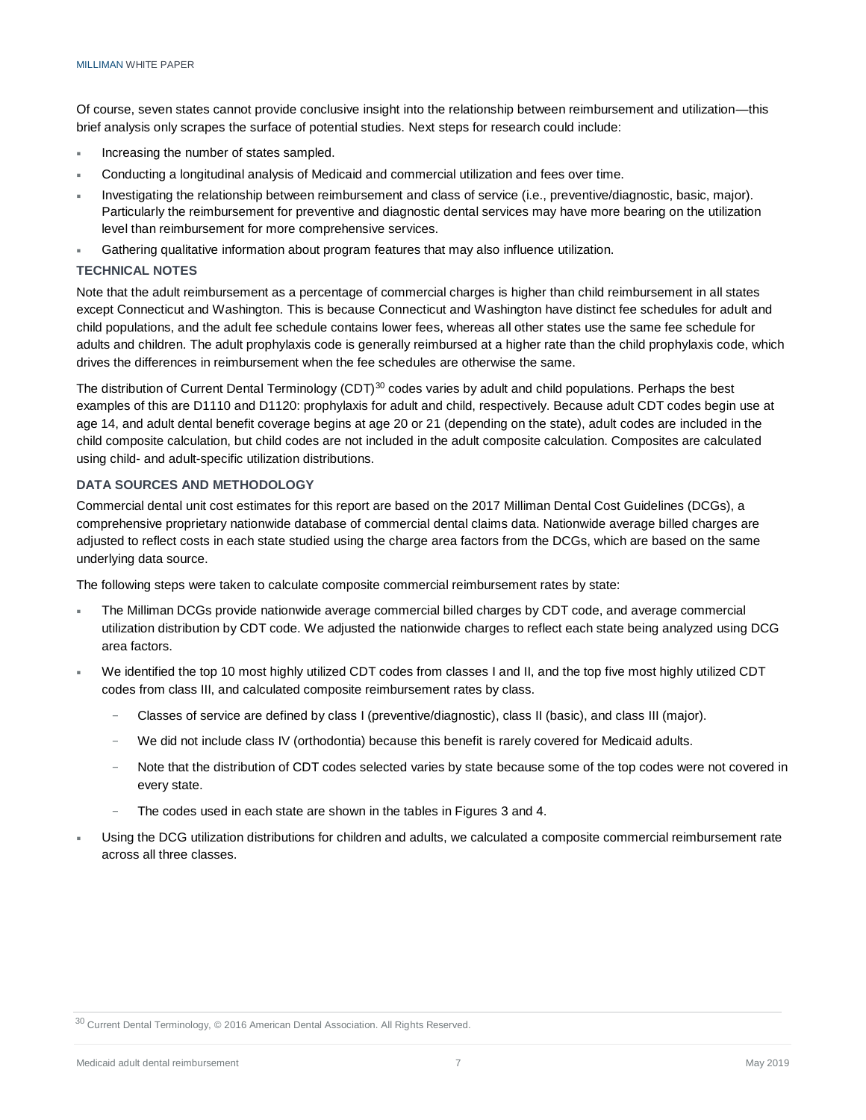Of course, seven states cannot provide conclusive insight into the relationship between reimbursement and utilization—this brief analysis only scrapes the surface of potential studies. Next steps for research could include:

- Increasing the number of states sampled.
- Conducting a longitudinal analysis of Medicaid and commercial utilization and fees over time.
- Investigating the relationship between reimbursement and class of service (i.e., preventive/diagnostic, basic, major). Particularly the reimbursement for preventive and diagnostic dental services may have more bearing on the utilization level than reimbursement for more comprehensive services.
- Gathering qualitative information about program features that may also influence utilization.

#### **TECHNICAL NOTES**

Note that the adult reimbursement as a percentage of commercial charges is higher than child reimbursement in all states except Connecticut and Washington. This is because Connecticut and Washington have distinct fee schedules for adult and child populations, and the adult fee schedule contains lower fees, whereas all other states use the same fee schedule for adults and children. The adult prophylaxis code is generally reimbursed at a higher rate than the child prophylaxis code, which drives the differences in reimbursement when the fee schedules are otherwise the same.

The distribution of Current Dental Terminology (CDT)<sup>30</sup> codes varies by adult and child populations. Perhaps the best examples of this are D1110 and D1120: prophylaxis for adult and child, respectively. Because adult CDT codes begin use at age 14, and adult dental benefit coverage begins at age 20 or 21 (depending on the state), adult codes are included in the child composite calculation, but child codes are not included in the adult composite calculation. Composites are calculated using child- and adult-specific utilization distributions.

#### **DATA SOURCES AND METHODOLOGY**

Commercial dental unit cost estimates for this report are based on the 2017 Milliman Dental Cost Guidelines (DCGs), a comprehensive proprietary nationwide database of commercial dental claims data. Nationwide average billed charges are adjusted to reflect costs in each state studied using the charge area factors from the DCGs, which are based on the same underlying data source.

The following steps were taken to calculate composite commercial reimbursement rates by state:

- The Milliman DCGs provide nationwide average commercial billed charges by CDT code, and average commercial utilization distribution by CDT code. We adjusted the nationwide charges to reflect each state being analyzed using DCG area factors.
- We identified the top 10 most highly utilized CDT codes from classes I and II, and the top five most highly utilized CDT codes from class III, and calculated composite reimbursement rates by class.
	- − Classes of service are defined by class I (preventive/diagnostic), class II (basic), and class III (major).
	- We did not include class IV (orthodontia) because this benefit is rarely covered for Medicaid adults.
	- − Note that the distribution of CDT codes selected varies by state because some of the top codes were not covered in every state.
	- The codes used in each state are shown in the tables in Figures 3 and 4.
- Using the DCG utilization distributions for children and adults, we calculated a composite commercial reimbursement rate across all three classes.

<sup>30</sup> Current Dental Terminology, © 2016 American Dental Association. All Rights Reserved.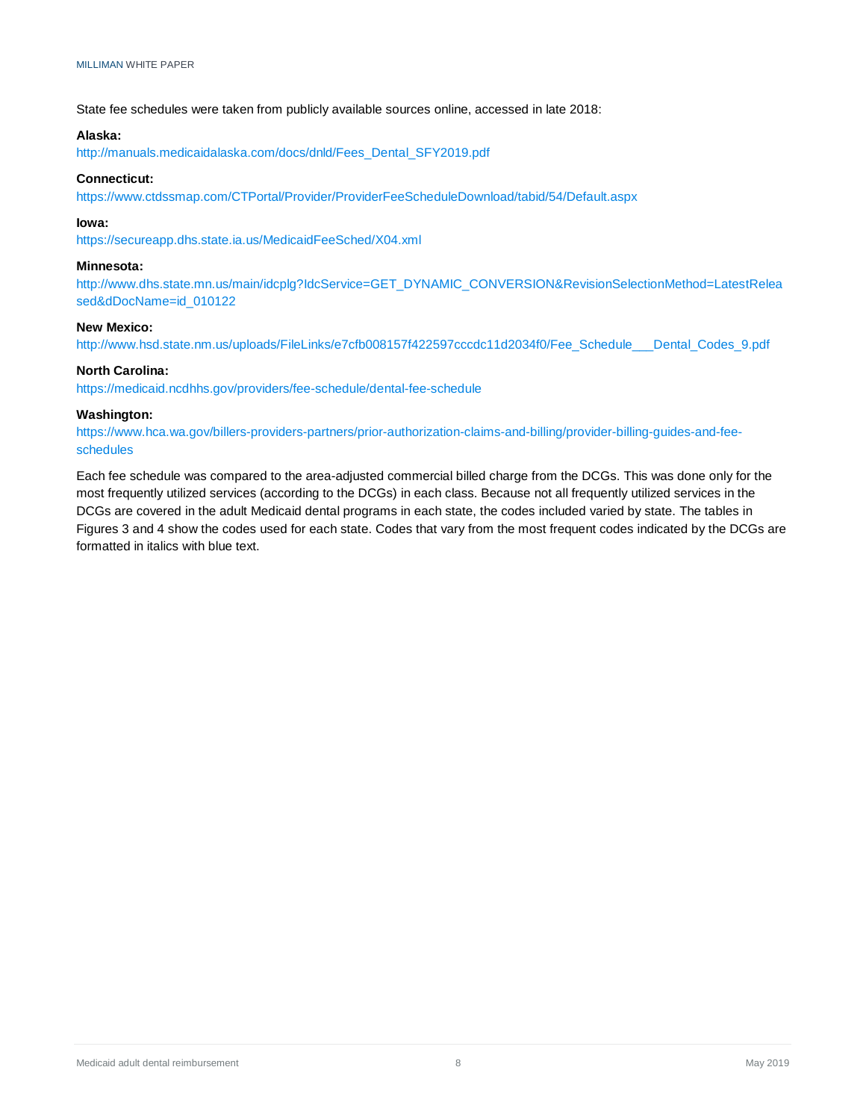State fee schedules were taken from publicly available sources online, accessed in late 2018:

#### **Alaska:**

[http://manuals.medicaidalaska.com/docs/dnld/Fees\\_Dental\\_SFY2019.pdf](http://manuals.medicaidalaska.com/docs/dnld/Fees_Dental_SFY2019.pdf)

#### **Connecticut:**

<https://www.ctdssmap.com/CTPortal/Provider/ProviderFeeScheduleDownload/tabid/54/Default.aspx>

#### **Iowa:**

<https://secureapp.dhs.state.ia.us/MedicaidFeeSched/X04.xml>

#### **Minnesota:**

[http://www.dhs.state.mn.us/main/idcplg?IdcService=GET\\_DYNAMIC\\_CONVERSION&RevisionSelectionMethod=LatestRelea](http://www.dhs.state.mn.us/main/idcplg?IdcService=GET_DYNAMIC_CONVERSION&RevisionSelectionMethod=LatestReleased&dDocName=id_010122) [sed&dDocName=id\\_010122](http://www.dhs.state.mn.us/main/idcplg?IdcService=GET_DYNAMIC_CONVERSION&RevisionSelectionMethod=LatestReleased&dDocName=id_010122)

#### **New Mexico:**

[http://www.hsd.state.nm.us/uploads/FileLinks/e7cfb008157f422597cccdc11d2034f0/Fee\\_Schedule\\_\\_\\_Dental\\_Codes\\_9.pdf](http://www.hsd.state.nm.us/uploads/FileLinks/e7cfb008157f422597cccdc11d2034f0/Fee_Schedule___Dental_Codes_9.pdf)

#### **North Carolina:**

<https://medicaid.ncdhhs.gov/providers/fee-schedule/dental-fee-schedule>

#### **Washington:**

[https://www.hca.wa.gov/billers-providers-partners/prior-authorization-claims-and-billing/provider-billing-guides-and-fee](https://www.hca.wa.gov/billers-providers-partners/prior-authorization-claims-and-billing/provider-billing-guides-and-fee-schedules)[schedules](https://www.hca.wa.gov/billers-providers-partners/prior-authorization-claims-and-billing/provider-billing-guides-and-fee-schedules)

Each fee schedule was compared to the area-adjusted commercial billed charge from the DCGs. This was done only for the most frequently utilized services (according to the DCGs) in each class. Because not all frequently utilized services in the DCGs are covered in the adult Medicaid dental programs in each state, the codes included varied by state. The tables in Figures 3 and 4 show the codes used for each state. Codes that vary from the most frequent codes indicated by the DCGs are formatted in italics with blue text.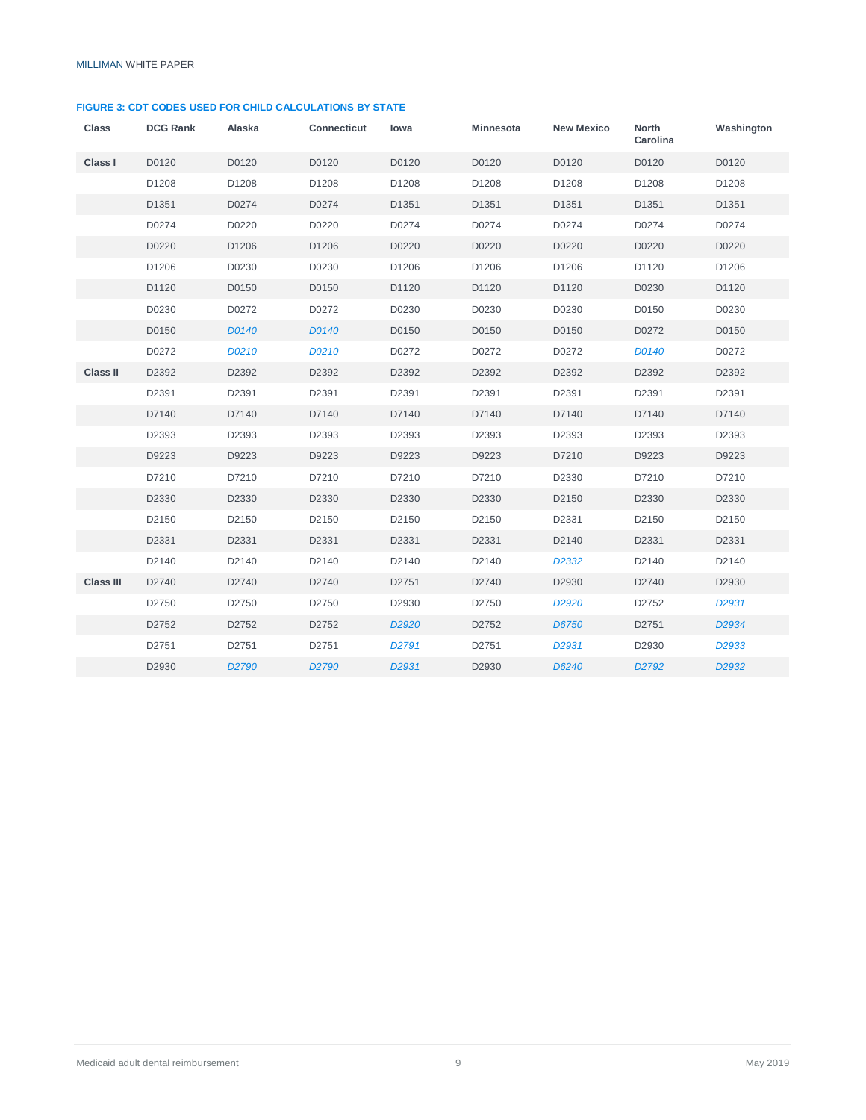#### **FIGURE 3: CDT CODES USED FOR CHILD CALCULATIONS BY STATE**

| <b>Class</b>     | <b>DCG Rank</b> | Alaska            | <b>Connecticut</b> | lowa              | Minnesota | <b>New Mexico</b>  | North<br>Carolina | Washington        |
|------------------|-----------------|-------------------|--------------------|-------------------|-----------|--------------------|-------------------|-------------------|
| Class I          | D0120           | D0120             | D0120              | D0120             | D0120     | D0120              | D0120             | D0120             |
|                  | D1208           | D1208             | D1208              | D1208             | D1208     | D1208              | D1208             | D1208             |
|                  | D1351           | D0274             | D0274              | D1351             | D1351     | D1351              | D1351             | D1351             |
|                  | D0274           | D0220             | D0220              | D0274             | D0274     | D0274              | D0274             | D0274             |
|                  | D0220           | D1206             | D1206              | D0220             | D0220     | D0220              | D0220             | D0220             |
|                  | D1206           | D0230             | D0230              | D1206             | D1206     | D1206              | D1120             | D1206             |
|                  | D1120           | D0150             | D0150              | D1120             | D1120     | D1120              | D0230             | D1120             |
|                  | D0230           | D0272             | D0272              | D0230             | D0230     | D0230              | D0150             | D0230             |
|                  | D0150           | D0140             | D0140              | D0150             | D0150     | D0150              | D0272             | D0150             |
|                  | D0272           | D0210             | D0210              | D0272             | D0272     | D0272              | D0140             | D0272             |
| <b>Class II</b>  | D2392           | D2392             | D2392              | D2392             | D2392     | D2392              | D2392             | D2392             |
|                  | D2391           | D2391             | D2391              | D2391             | D2391     | D2391              | D2391             | D2391             |
|                  | D7140           | D7140             | D7140              | D7140             | D7140     | D7140              | D7140             | D7140             |
|                  | D2393           | D2393             | D2393              | D2393             | D2393     | D2393              | D2393             | D2393             |
|                  | D9223           | D9223             | D9223              | D9223             | D9223     | D7210              | D9223             | D9223             |
|                  | D7210           | D7210             | D7210              | D7210             | D7210     | D2330              | D7210             | D7210             |
|                  | D2330           | D2330             | D2330              | D2330             | D2330     | D2150              | D2330             | D2330             |
|                  | D2150           | D2150             | D2150              | D2150             | D2150     | D2331              | D2150             | D2150             |
|                  | D2331           | D2331             | D2331              | D2331             | D2331     | D2140              | D2331             | D2331             |
|                  | D2140           | D2140             | D2140              | D2140             | D2140     | D <sub>2</sub> 332 | D2140             | D2140             |
| <b>Class III</b> | D2740           | D2740             | D2740              | D2751             | D2740     | D2930              | D2740             | D2930             |
|                  | D2750           | D2750             | D2750              | D2930             | D2750     | D <sub>2920</sub>  | D2752             | D <sub>2931</sub> |
|                  | D2752           | D2752             | D2752              | D <sub>2920</sub> | D2752     | D6750              | D2751             | D <sub>2934</sub> |
|                  | D2751           | D2751             | D2751              | D <sub>2791</sub> | D2751     | D <sub>2931</sub>  | D2930             | D <sub>2933</sub> |
|                  | D2930           | D <sub>2790</sub> | D <sub>2790</sub>  | D <sub>2931</sub> | D2930     | D6240              | D <sub>2792</sub> | D <sub>2932</sub> |